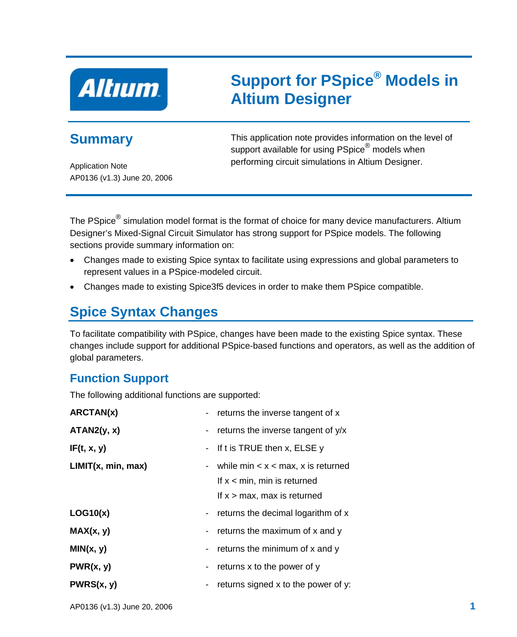

# **Support for PSpice® Models in Altium Designer**

# **Summary**

Application Note AP0136 (v1.3) June 20, 2006

This application note provides information on the level of support available for using PSpice<sup>®</sup> models when performing circuit simulations in Altium Designer.

The PSpice® simulation model format is the format of choice for many device manufacturers. Altium Designer's Mixed-Signal Circuit Simulator has strong support for PSpice models. The following sections provide summary information on:

- Changes made to existing Spice syntax to facilitate using expressions and global parameters to represent values in a PSpice-modeled circuit.
- Changes made to existing Spice3f5 devices in order to make them PSpice compatible.

# **Spice Syntax Changes**

To facilitate compatibility with PSpice, changes have been made to the existing Spice syntax. These changes include support for additional PSpice-based functions and operators, as well as the addition of global parameters.

# **Function Support**

The following additional functions are supported:

| ARCTAN(x)          |        | - returns the inverse tangent of x     |
|--------------------|--------|----------------------------------------|
| ATAN2(y, x)        |        | - returns the inverse tangent of $y/x$ |
| IF(t, x, y)        | ÷      | If t is TRUE then x, ELSE y            |
| LIMIT(x, min, max) | ۰.     | while $min < x < max$ , x is returned  |
|                    |        | If $x <$ min, min is returned          |
|                    |        | If $x > max$ , max is returned         |
| LOG10(x)           | ۰.     | returns the decimal logarithm of x     |
| MAX(x, y)          | $\sim$ | returns the maximum of x and y         |
| MIN(x, y)          | $\sim$ | returns the minimum of x and y         |
| PWR(x, y)          | ÷      | returns x to the power of y            |
| PWRS(x, y)         |        | returns signed x to the power of y:    |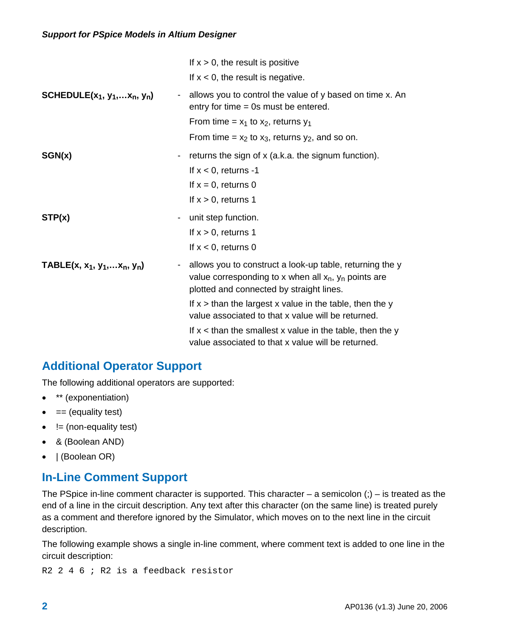|                                                                                  | If $x > 0$ , the result is positive                                                                                                                                |
|----------------------------------------------------------------------------------|--------------------------------------------------------------------------------------------------------------------------------------------------------------------|
|                                                                                  | If $x < 0$ , the result is negative.                                                                                                                               |
| SCHEDULE $(x_1, y_1,x_n, y_n)$                                                   | allows you to control the value of y based on time x. An<br>entry for time = 0s must be entered.                                                                   |
|                                                                                  | From time = $x_1$ to $x_2$ , returns $y_1$                                                                                                                         |
|                                                                                  | From time = $x_2$ to $x_3$ , returns $y_2$ , and so on.                                                                                                            |
| SGN(x)<br>۰                                                                      | returns the sign of x (a.k.a. the signum function).<br>If $x < 0$ , returns -1<br>If $x = 0$ , returns 0<br>If $x > 0$ , returns 1                                 |
| STP(x)                                                                           | unit step function.<br>If $x > 0$ , returns 1<br>If $x < 0$ , returns 0                                                                                            |
| TABLE(x, x <sub>1</sub> , y <sub>1</sub> ,x <sub>n</sub> , y <sub>n</sub> )<br>۰ | allows you to construct a look-up table, returning the y<br>value corresponding to x when all $x_n$ , $y_n$ points are<br>plotted and connected by straight lines. |
|                                                                                  | If $x >$ than the largest x value in the table, then the y<br>value associated to that x value will be returned.                                                   |
|                                                                                  | If $x$ < than the smallest x value in the table, then the y<br>value associated to that x value will be returned.                                                  |

## **Additional Operator Support**

The following additional operators are supported:

- \*\* (exponentiation)
- $\bullet$  == (equality test)
- $\bullet$  != (non-equality test)
- & (Boolean AND)
- | (Boolean OR)

# **In-Line Comment Support**

The PSpice in-line comment character is supported. This character – a semicolon  $($ ;  $)$  – is treated as the end of a line in the circuit description. Any text after this character (on the same line) is treated purely as a comment and therefore ignored by the Simulator, which moves on to the next line in the circuit description.

The following example shows a single in-line comment, where comment text is added to one line in the circuit description:

R2 2 4 6 ; R2 is a feedback resistor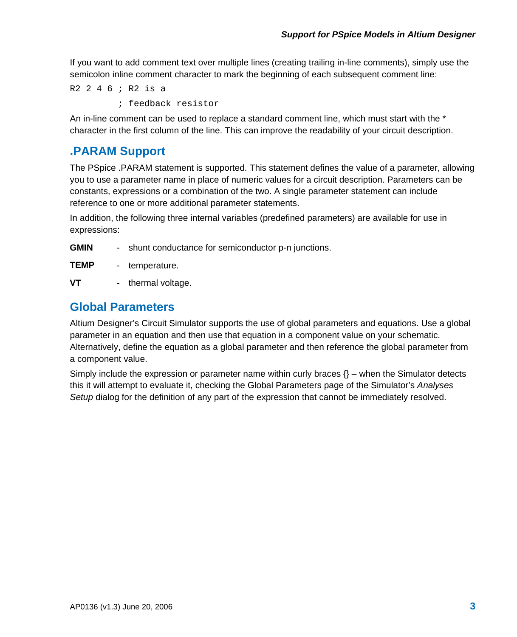If you want to add comment text over multiple lines (creating trailing in-line comments), simply use the semicolon inline comment character to mark the beginning of each subsequent comment line:

R2 2 4 6 ; R2 is a ; feedback resistor

An in-line comment can be used to replace a standard comment line, which must start with the \* character in the first column of the line. This can improve the readability of your circuit description.

# **.PARAM Support**

The PSpice .PARAM statement is supported. This statement defines the value of a parameter, allowing you to use a parameter name in place of numeric values for a circuit description. Parameters can be constants, expressions or a combination of the two. A single parameter statement can include reference to one or more additional parameter statements.

In addition, the following three internal variables (predefined parameters) are available for use in expressions:

**GMIN** - shunt conductance for semiconductor p-n junctions.

**TEMP** - temperature.

**VT** - thermal voltage.

## **Global Parameters**

Altium Designer's Circuit Simulator supports the use of global parameters and equations. Use a global parameter in an equation and then use that equation in a component value on your schematic. Alternatively, define the equation as a global parameter and then reference the global parameter from a component value.

Simply include the expression or parameter name within curly braces  $\{\}$  – when the Simulator detects this it will attempt to evaluate it, checking the Global Parameters page of the Simulator's *Analyses Setup* dialog for the definition of any part of the expression that cannot be immediately resolved.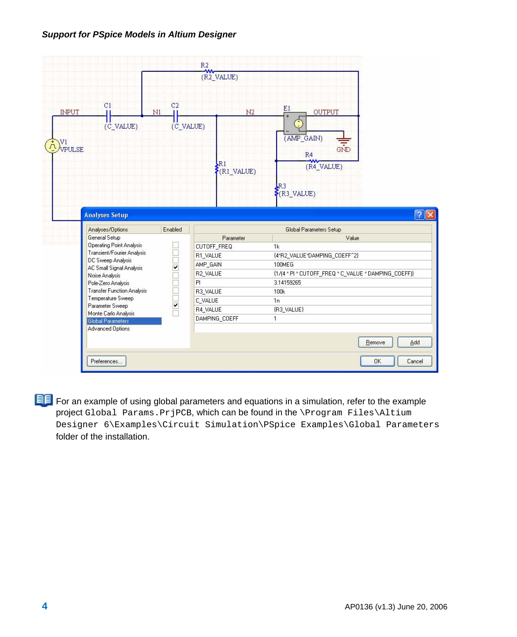#### *Support for PSpice Models in Altium Designer*

|                     |                                                  |                             | R <sub>2</sub><br>$\tilde{M}$<br>(R2 VALUE) |                                                         |                     |
|---------------------|--------------------------------------------------|-----------------------------|---------------------------------------------|---------------------------------------------------------|---------------------|
| <b>INPUT</b>        | C1<br>N1<br>(C VALUE)                            | C <sub>2</sub><br>(C VALUE) | N <sub>2</sub>                              | E1<br><b>OUTPUT</b>                                     |                     |
| V1<br><b>VPULSE</b> |                                                  |                             | $\sqrt{R1}$<br>$\{R1 \text{ VALUE}\}$       | (AMP GAIN)<br>$G\overline{ND}$<br>R4<br>w<br>(R4 VALUE) |                     |
|                     | <b>Analyses Setup</b>                            |                             |                                             | IR3<br>$( R3$ VALUE)                                    | <u>? </u>           |
|                     | Analyses/Options                                 | Enabled                     |                                             | Global Parameters Setup                                 |                     |
|                     | General Setup<br><b>Operating Point Analysis</b> |                             | Parameter                                   |                                                         | Value               |
|                     | Transient/Fourier Analysis                       |                             | CUTOFF_FREQ                                 | 1k                                                      |                     |
|                     | DC Sweep Analysis                                |                             | R1_VALUE                                    | {4*R2_VALUE*DAMPING_COEFF^2}<br>100MEG                  |                     |
|                     | AC Small Signal Analysis                         | $\overline{\phantom{0}}$    | AMP_GAIN<br>R2_VALUE                        | {1/(4 * PI * CUTOFF_FREQ * C_VALUE * DAMPING_COEFF)}    |                     |
|                     | Noise Analysis<br>Pole-Zero Analysis             |                             | PI                                          | 3.14159265                                              |                     |
|                     | <b>Transfer Function Analysis</b>                |                             | R3_VALUE                                    | 100k                                                    |                     |
|                     | Temperature Sweep                                |                             | C_VALUE                                     | 1n                                                      |                     |
|                     | Parameter Sweep                                  | $\overline{\phantom{0}}$    | R4_VALUE                                    | {R3_VALUE}                                              |                     |
|                     | Monte Carlo Analysis<br><b>Global Parameters</b> |                             | DAMPING_COEFF                               | 1                                                       |                     |
|                     | Advanced Options                                 |                             |                                             |                                                         |                     |
|                     |                                                  |                             |                                             |                                                         | Remove<br>Add       |
|                     | Preferences                                      |                             |                                             |                                                         | <b>OK</b><br>Cancel |

**FF** For an example of using global parameters and equations in a simulation, refer to the example project Global Params.PrjPCB, which can be found in the \Program Files\Altium Designer 6\Examples\Circuit Simulation\PSpice Examples\Global Parameters folder of the installation.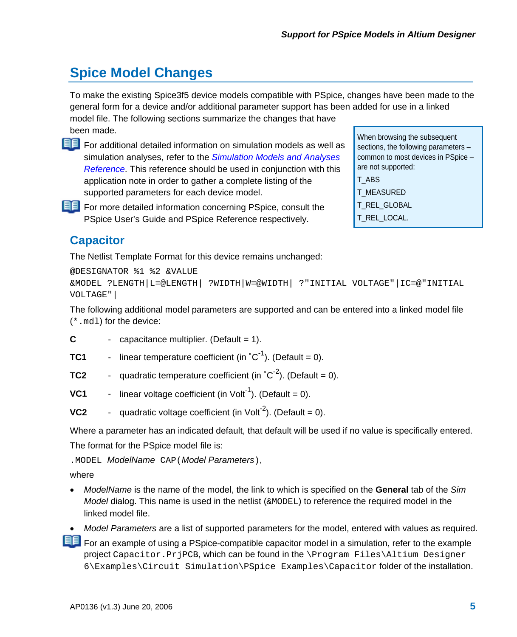# **Spice Model Changes**

To make the existing Spice3f5 device models compatible with PSpice, changes have been made to the general form for a device and/or additional parameter support has been added for use in a linked model file. The following sections summarize the changes that have

been made. **FF** For additional detailed information on simulation models as well as

simulation analyses, refer to the *Simulation Models and Analyses Reference*. This reference should be used in conjunction with this application note in order to gather a complete listing of the supported parameters for each device model.

**EE** For more detailed information concerning PSpice, consult the PSpice User's Guide and PSpice Reference respectively.

When browsing the subsequent sections, the following parameters – common to most devices in PSpice – are not supported: T\_ABS T\_MEASURED

T\_REL\_GLOBAL

T\_REL\_LOCAL.

## **Capacitor**

The Netlist Template Format for this device remains unchanged:

```
@DESIGNATOR %1 %2 &VALUE 
&MODEL ?LENGTH|L=@LENGTH| ?WIDTH|W=@WIDTH| ?"INITIAL VOLTAGE"|IC=@"INITIAL 
VOLTAGE"|
```
The following additional model parameters are supported and can be entered into a linked model file (\*.mdl) for the device:

```
C - capacitance multiplier. (Default = 1).
```
**TC1** - linear temperature coefficient (in  $^{\circ}C^{-1}$ ). (Default = 0).

- **TC2** quadratic temperature coefficient (in  $^{\circ}C^{-2}$ ). (Default = 0).
- **VC1** linear voltage coefficient (in Volt<sup>-1</sup>). (Default = 0).
- **VC2** quadratic voltage coefficient (in Volt<sup>-2</sup>). (Default = 0).

Where a parameter has an indicated default, that default will be used if no value is specifically entered.

The format for the PSpice model file is:

.MODEL *ModelName* CAP(*Model Parameters*),

- *ModelName* is the name of the model, the link to which is specified on the **General** tab of the *Sim Model* dialog. This name is used in the netlist (&MODEL) to reference the required model in the linked model file.
- *Model Parameters* are a list of supported parameters for the model, entered with values as required.
- **FF** For an example of using a PSpice-compatible capacitor model in a simulation, refer to the example project Capacitor.PrjPCB, which can be found in the \Program Files\Altium Designer 6\Examples\Circuit Simulation\PSpice Examples\Capacitor folder of the installation.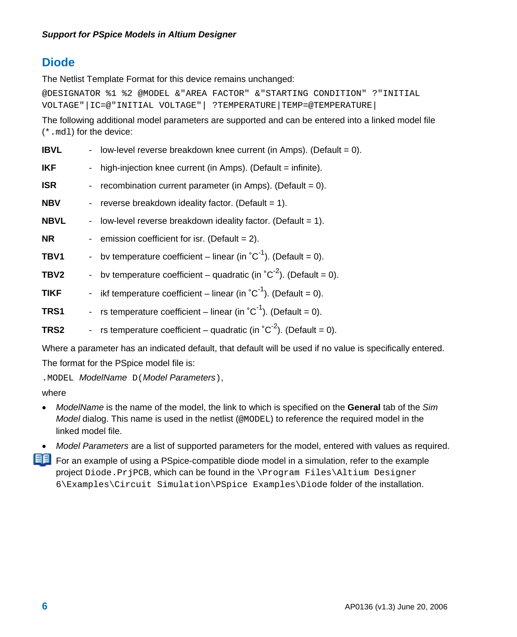# **Diode**

The Netlist Template Format for this device remains unchanged:

```
@DESIGNATOR %1 %2 @MODEL &"AREA FACTOR" &"STARTING CONDITION" ?"INITIAL 
VOLTAGE"|IC=@"INITIAL VOLTAGE"| ?TEMPERATURE|TEMP=@TEMPERATURE|
```
The following additional model parameters are supported and can be entered into a linked model file (\*.mdl) for the device:

| <b>IBVL</b>      | - low-level reverse breakdown knee current (in Amps). (Default = $0$ ).                                    |
|------------------|------------------------------------------------------------------------------------------------------------|
| <b>IKF</b>       | - high-injection knee current (in Amps). (Default = infinite).                                             |
| <b>ISR</b>       | - recombination current parameter (in Amps). (Default = $0$ ).                                             |
| <b>NBV</b>       | - reverse breakdown ideality factor. (Default = $1$ ).                                                     |
| <b>NBVL</b>      | - low-level reverse breakdown ideality factor. (Default = $1$ ).                                           |
| <b>NR</b>        | - emission coefficient for isr. (Default = $2$ ).                                                          |
| TBV1             | - by temperature coefficient – linear (in $^{\circ}$ C <sup>-1</sup> ). (Default = 0).                     |
| TBV <sub>2</sub> | - by temperature coefficient – quadratic (in $^{\circ}$ C <sup>-2</sup> ). (Default = 0).                  |
| <b>TIKF</b>      | - ikf temperature coefficient – linear (in $^{\circ}$ C <sup>-1</sup> ). (Default = 0).                    |
| TRS1             | - rs temperature coefficient – linear (in $^{\circ}$ C <sup>-1</sup> ). (Default = 0).                     |
| TRS <sub>2</sub> | - rs temperature coefficient – quadratic (in $^{\circ}$ C <sup>-2</sup> ). (Default = 0).                  |
|                  | Where a parameter has an indicated default, that default will be used if no value is specifically entered. |

The format for the PSpice model file is:

.MODEL *ModelName* D(*Model Parameters*),

- *ModelName* is the name of the model, the link to which is specified on the **General** tab of the *Sim Model* dialog. This name is used in the netlist (@MODEL) to reference the required model in the linked model file.
- *Model Parameters* are a list of supported parameters for the model, entered with values as required.
- **FF** For an example of using a PSpice-compatible diode model in a simulation, refer to the example project Diode.PrjPCB, which can be found in the \Program Files\Altium Designer 6\Examples\Circuit Simulation\PSpice Examples\Diode folder of the installation.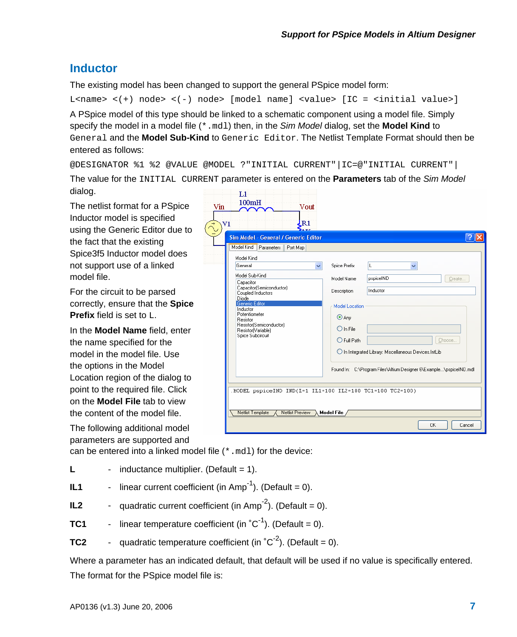## **Inductor**

The existing model has been changed to support the general PSpice model form:

L<name> <(+) node> <(-) node> [model name] <value> [IC = <initial value>]

A PSpice model of this type should be linked to a schematic component using a model file. Simply specify the model in a model file (\*.mdl) then, in the *Sim Model* dialog, set the **Model Kind** to General and the **Model Sub-Kind** to Generic Editor. The Netlist Template Format should then be entered as follows:

@DESIGNATOR %1 %2 @VALUE @MODEL ?"INITIAL CURRENT"|IC=@"INITIAL CURRENT"|

The value for the INITIAL CURRENT parameter is entered on the **Parameters** tab of the *Sim Model* dialog.

The netlist format for a PSpice Inductor model is specified using the Generic Editor due to the fact that the existing Spice3f5 Inductor model does not support use of a linked model file.

For the circuit to be parsed correctly, ensure that the **Sp ice Prefix** field is set to L.

In the **Model Name** field, enter the name specified for the model in the model file. Use the options in the Model Location region of the dialog to point to the required file. Click on the **Model File** tab to view the content of the model file.

The following additional model parameters are supported and

can be entered into a linked model file (\*.mdl) for the device:

- L inductance multiplier. (Default = 1).
- **IL1** linear current coefficient (in Amp<sup>-1</sup>). (Default = 0).
- **IL2** quadratic current coefficient (in Amp<sup>-2</sup>). (Default = 0).
- **TC1** linear temperature coefficient (in  $^{\circ}C^{-1}$ ). (Default = 0).
- **TC2** quadratic temperature coefficient (in  $^{\circ}C^{-2}$ ). (Default = 0).

Where a parameter has an indicated default, that default will be used if no value is specifically entered. The format for the PSpice model file is:

| Vin | L1<br>100mH<br>Vout<br>$_{\rm R1}$<br>V1                                                                                                                                                                                                                                                                                                    |                                                                                                                                                                                                                                                                                              |
|-----|---------------------------------------------------------------------------------------------------------------------------------------------------------------------------------------------------------------------------------------------------------------------------------------------------------------------------------------------|----------------------------------------------------------------------------------------------------------------------------------------------------------------------------------------------------------------------------------------------------------------------------------------------|
|     | Sim Model - General / Generic Editor<br>Model Kind   Parameters  <br>Port Map<br>Model Kind<br>General<br>v<br>Model Sub-Kind<br>Capacitor<br>Capacitor(Semiconductor)<br>Coupled Inductors<br><b>Diode</b><br>Generic Editor<br>Inductor<br>Potentiometer<br>Resistor<br>Resistor(Semiconductor)<br>Resistor(Variable)<br>Spice Subcircuit | Spice Prefix<br>L<br>pspiceIND<br>Model Name<br>Create<br>Inductor<br>Description<br>Model Location<br>$\odot$ Any<br>$O$ In File<br>O Full Path<br>Choose<br>O In Integrated Library: Miscellaneous Devices.IntLib<br>C:\Program Files\Altium Designer 6\Example\pspiceIND.mdl<br>Found In: |
|     | MODEL pspiceIND IND(L=1 IL1=100 IL2=100 TC1=100 TC2=100)<br>Netlist Template<br>Netlist Preview                                                                                                                                                                                                                                             | $\lambda$ Model File<br>Cancel<br>0K                                                                                                                                                                                                                                                         |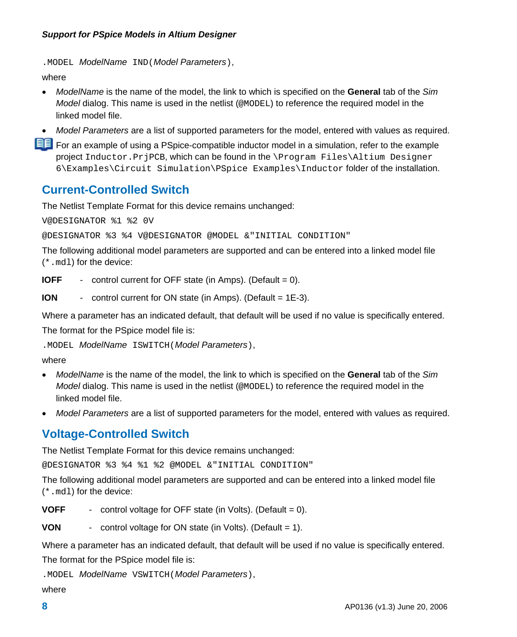#### *Support for PSpice Models in Altium Designer*

.MODEL *ModelName* IND(*Model Parameters*),

where

- *ModelName* is the name of the model, the link to which is specified on the **General** tab of the *Sim Model* dialog. This name is used in the netlist (@MODEL) to reference the required model in the linked model file.
- *Model Parameters* are a list of supported parameters for the model, entered with values as required.
- **FF** For an example of using a PSpice-compatible inductor model in a simulation, refer to the example project Inductor.PrjPCB, which can be found in the \Program Files\Altium Designer 6\Examples\Circuit Simulation\PSpice Examples\Inductor folder of the installation.

## **Current-Controlled Switch**

The Netlist Template Format for this device remains unchanged:

V@DESIGNATOR %1 %2 0V

@DESIGNATOR %3 %4 V@DESIGNATOR @MODEL &"INITIAL CONDITION"

The following additional model parameters are supported and can be entered into a linked model file (\*.mdl) for the device:

**IOFF** - control current for OFF state (in Amps). (Default = 0).

**ION** - control current for ON state (in Amps). (Default = 1E-3).

Where a parameter has an indicated default, that default will be used if no value is specifically entered.

The format for the PSpice model file is:

```
.MODEL ModelName ISWITCH(Model Parameters),
```
where

- *ModelName* is the name of the model, the link to which is specified on the **General** tab of the *Sim Model* dialog. This name is used in the netlist (@MODEL) to reference the required model in the linked model file.
- *Model Parameters* are a list of supported parameters for the model, entered with values as required.

### **Voltage-Controlled Switch**

The Netlist Template Format for this device remains unchanged:

@DESIGNATOR %3 %4 %1 %2 @MODEL &"INITIAL CONDITION"

The following additional model parameters are supported and can be entered into a linked model file (\*.mdl) for the device:

- **VOFF** control voltage for OFF state (in Volts). (Default = 0).
- **VON** control voltage for ON state (in Volts). (Default = 1).

Where a parameter has an indicated default, that default will be used if no value is specifically entered.

The format for the PSpice model file is:

.MODEL *ModelName* VSWITCH(*Model Parameters*),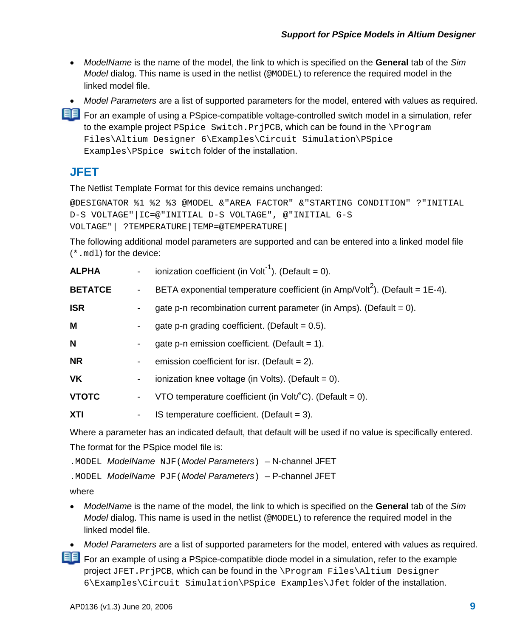- *ModelName* is the name of the model, the link to which is specified on the **General** tab of the *Sim Model* dialog. This name is used in the netlist (@MODEL) to reference the required model in the linked model file.
- *Model Parameters* are a list of supported parameters for the model, entered with values as required.
- **FF** For an example of using a PSpice-compatible voltage-controlled switch model in a simulation, refer to the example project PSpice Switch.PrjPCB, which can be found in the \Program Files\Altium Designer 6\Examples\Circuit Simulation\PSpice Examples\PSpice switch folder of the installation.

## **JFET**

The Netlist Template Format for this device remains unchanged:

```
@DESIGNATOR %1 %2 %3 @MODEL &"AREA FACTOR" &"STARTING CONDITION" ?"INITIAL 
D-S VOLTAGE"|IC=@"INITIAL D-S VOLTAGE", @"INITIAL G-S 
VOLTAGE"| ?TEMPERATURE|TEMP=@TEMPERATURE|
```
The following additional model parameters are supported and can be entered into a linked model file (\*.mdl) for the device:

| <b>ALPHA</b>   |   | ionization coefficient (in Volt <sup>-1</sup> ). (Default = 0).                         |
|----------------|---|-----------------------------------------------------------------------------------------|
| <b>BETATCE</b> | - | BETA exponential temperature coefficient (in Amp/Volt <sup>2</sup> ). (Default = 1E-4). |
| <b>ISR</b>     | ۰ | gate p-n recombination current parameter (in Amps). (Default = $0$ ).                   |
| М              | ۰ | gate p-n grading coefficient. (Default = $0.5$ ).                                       |
| N              |   | gate p-n emission coefficient. (Default = 1).                                           |
| <b>NR</b>      | ۰ | emission coefficient for isr. (Default = $2$ ).                                         |
| VK             | ۰ | ionization knee voltage (in Volts). (Default = $0$ ).                                   |
| <b>VTOTC</b>   | ۰ | VTO temperature coefficient (in Volt/°C). (Default = 0).                                |
| <b>XTI</b>     | ۰ | IS temperature coefficient. (Default = $3$ ).                                           |

Where a parameter has an indicated default, that default will be used if no value is specifically entered. The format for the PSpice model file is:

.MODEL *ModelName* NJF(*Model Parameters*) – N-channel JFET

.MODEL *ModelName* PJF(*Model Parameters*) – P-channel JFET

- *ModelName* is the name of the model, the link to which is specified on the **General** tab of the *Sim Model* dialog. This name is used in the netlist (@MODEL) to reference the required model in the linked model file.
- *Model Parameters* are a list of supported parameters for the model, entered with values as required.
- **FF** For an example of using a PSpice-compatible diode model in a simulation, refer to the example project JFET.PrjPCB, which can be found in the \Program Files\Altium Designer 6\Examples\Circuit Simulation\PSpice Examples\Jfet folder of the installation.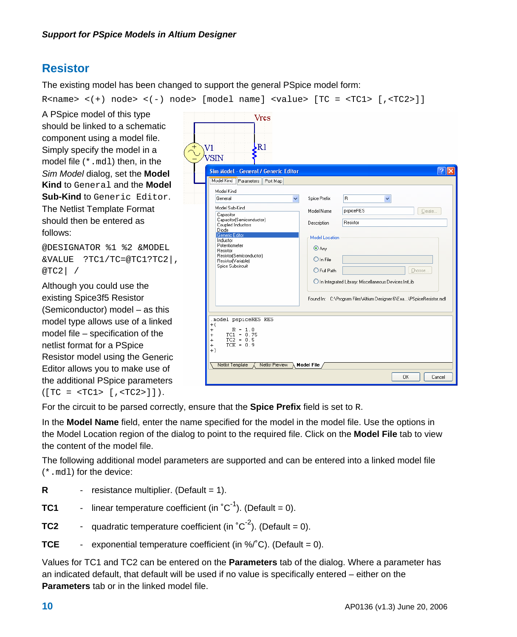# **Resistor**

The existing model has been changed to support the general PSpice model form:

 $R$ <name> <(+) node> <(-) node> [model name] <value>  $[TC =$  [,<TC2>]]

A PSpice model of this type should be linked to a schematic component using a model file. Simply specify the model in a model file (\*.mdl) then, in the *Sim Model* dialog, set the **Model Kind** to General and the **Model Sub-Kind** to Generic Editor. The Netlist Template Format should then be entered as follows:

@DESIGNATOR %1 %2 &MODEL &VALUE ?TC1/TC=@TC1?TC2|, @TC2| /

Although you could use the existing Spice3f5 Resistor (Semiconductor) model – as this model type allows use of a linked model file – specification of the netlist format for a PSpice Resistor model using the G eneric Editor allows you to make use of the additional PSpice param eters  $(\text{TC} = \text{CTC1} > [\text{CTC2}>])$ .



For the circuit to be parsed correctly, ensure that the **Spice Prefix** field is set to R.

In the **Model Name** field, enter the name specified for the model in the model file. Use the options in the Model Location region of the dialog to point to the required file. Click on the **Model File** tab to view the content of the model file.

The following additional model parameters are supported and can be entered into a linked model file (\*.mdl) for the device:

- **R** resistance multiplier. (Default = 1).
- **11 10** linear temperature coefficient (in  $^{\circ}C^{-1}$ ). (Default = 0).
- **TC2** quadratic temperature coefficient (in  $^{\circ}C^{-2}$ ). (Default = 0).
- **TCE** exponential temperature coefficient (in %/°C). (Default = 0).

Values for TC1 and TC2 can be entered on the Parameters tab of the dialog. Where a parameter has an indicated default, that default will be used if no value is specifically entered – either on the **Parameters** tab or in the linked model file.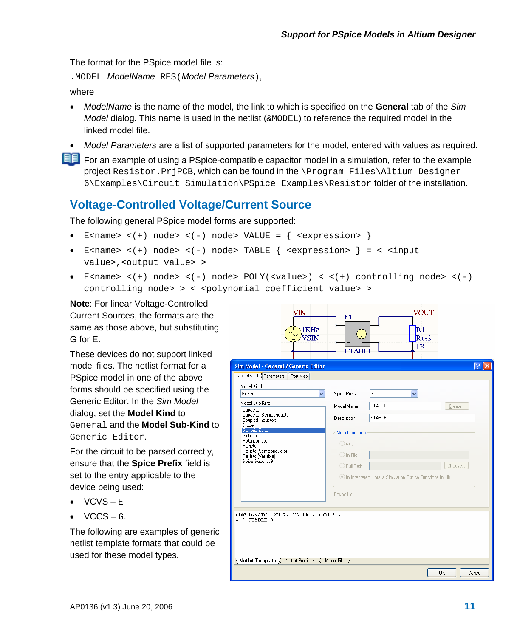The format for the PSpice model file is:

.MODEL *ModelName* RES(*Model Parameters*),

where

- *ModelName* is the name of the model, the link to which is specified on the **General** tab of the *Sim*  Model dialog. This name is used in the netlist (&MODEL) to reference the required model in the linked model file.
- Model Parameters are a list of supported parameters for the model, entered with values as required.
- For an example of using a PSpice-compatible capacitor model in a simulation, refer to the example project Resistor.PrjPCB, which can be found in the \Program Files\Altium Designer 6\Examples\Circuit Simulation\PSpice Examples\Resistor folder of the installation.

## **ltage-Controlled Voltage/Current Source Vo**

The following general PSpice model forms are supported:

- E<name> <(+) node> <(-) node> VALUE = { <expression> }
- E<name> <(+) node> <(-) node> TABLE { <expression> } = < <input value>,<output value> >
- E<name> <(+) node> <(-) node> POLY(<value>) < <(+) controlling node> <(-) controlling node> > < <polynomial coefficient value> >

**No te**: For linear Voltage-Controlled sam e as those above, but substituting Current Sources, the formats are the G for E.

PSpice model in one of the above General **and the Model Sub-Kind** to These devices do not support linked model files. The netlist format for a forms should be specified using the Generic Editor. In the *Sim Model* dialog, set the **Model Kind** to Generic Editor.

For the circuit to be parsed correctly, set to the entry applicable to the ensure that the **Spice Prefix** field is device being used:

- $\bullet$  VCVS  $E$
- $\bullet$  VCCS G.

The following are examples of generic netlist template formats that could be used for these model types.

| VIN<br>1KHz<br><b>VSIN</b><br>Sim Model - General / Generic Editor                                                                                                                                                           | E1<br>$\ddot{}$<br><b>ETABLE</b>                                                                | <b>VOUT</b><br>$\mathbb{R}1$<br>Res <sub>2</sub><br>1K<br>l?∥×                                    |
|------------------------------------------------------------------------------------------------------------------------------------------------------------------------------------------------------------------------------|-------------------------------------------------------------------------------------------------|---------------------------------------------------------------------------------------------------|
| Model Kind   Parameters   Port Map                                                                                                                                                                                           |                                                                                                 |                                                                                                   |
| Model Kind<br>General                                                                                                                                                                                                        | Spice Prefix                                                                                    | E                                                                                                 |
| Model Sub-Kind<br>Capacitor<br>Capacitor(Semiconductor)<br>Coupled Inductors<br><b>Diode</b><br>Generic Editor<br>Inductor<br>Potentiometer<br>Resistor<br>Resistor(Semiconductor)<br>Resistor(Variable)<br>Spice Subcircuit | Model Name<br>Description<br>Model Location<br>O Any<br>$O$ In File<br>O Full Path<br>Found In: | ETABLE<br>Create<br>ETABLE<br>Choose<br>In Integrated Library: Simulation Pspice Functions.IntLib |
| @DESIGNATOR %3 %4 TABLE { @EXPR }<br>+ ( @TABLE )<br>Netlist Template $\sqrt{}$<br><b>Netlist Preview</b>                                                                                                                    | Model File                                                                                      |                                                                                                   |
|                                                                                                                                                                                                                              |                                                                                                 | 0K<br>Cancel                                                                                      |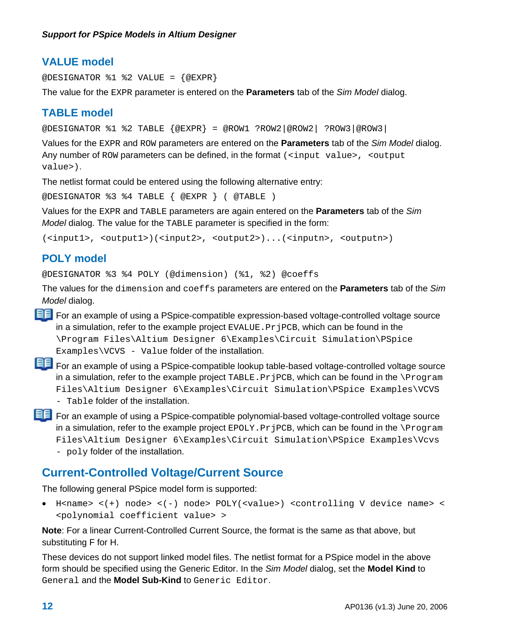#### *Support for PSpice Models in Altium Designer*

### **VALUE model**

@DESIGNATOR %1 %2 VALUE = {@EXPR}

The value for the EXPR parameter is entered on the **Parameters** tab of the *Sim Model* dialog.

#### **TABLE model**

@DESIGNATOR %1 %2 TABLE {@EXPR} = @ROW1 ?ROW2|@ROW2| ?ROW3|@ROW3|

Values for the EXPR and ROW parameters are entered on the **Parameters** tab of the *Sim Model* dialog. Any number of ROW parameters can be defined, in the format (<input value>, <output value>).

The netlist format could be entered using the following alternative entry:

@DESIGNATOR %3 %4 TABLE  $\{$  @EXPR  $\}$  ( @TABLE )

Values for the EXPR and TABLE parameters are again entered on the Parameters tab of the Sim *Model* dialog. The value for the TABLE parameter is specified in the form:

(<input1>, <output1>)(<input2>, <output2>)...(<inputn>, <outputn>)

### **POLY model**

@DESIGNATOR %3 %4 POLY (@dimension) (%1, %2) @coeffs

The values for the dimension and coeffs parameters are entered on the **Parameters** tab of the *Sim Model* dialog.

- **FF** For an example of using a PSpice-compatible expression-based voltage-controlled voltage source in a simulation, refer to the example project  $EVALU E$ . Pr jPCB, which can be found in the \Program Files\Altium Designer 6\Examples\Circuit Simulation\PSpice Examples\VCVS - Value folder of the installation.
	- For an example of using a PSpice-compatible lookup table-based voltage-controlled voltage source in a simulation, refer to the example project TABLE.PrjPCB, which can be found in the  $\Perogram$ Files\Altium Designer 6\Examples\Circuit Simulation\PSpice Examples\VCVS - Table folder of the installation.
- **FF** For an example of using a PSpice-compatible polynomial-based voltage-controlled voltage source in a simulation, refer to the example project  $EPOLY.PT]PCB$ , which can be found in the  $\Perq$ Files\Altium Designer 6\Examples\Circuit Simulation\PSpice Examples\Vcvs - poly folder of the installation.

### **Cu rrent-Controlled Voltage/Current Source**

The following general PSpice model form is supported:

• H<name> <(+) node> <(-) node> POLY(<value>) <controlling V device name> < <polynomial coefficient value> >

substituting F for H. **Note**: For a linear Current-Controlled Current Source, the format is the same as that above, but

form should be specified using the Generic Editor. In the Sim Model dialog, set the Model Kind to General **and the Model Sub-Kind to** Generic Editor. These devices do not support linked model files. The netlist format for a PSpice model in the above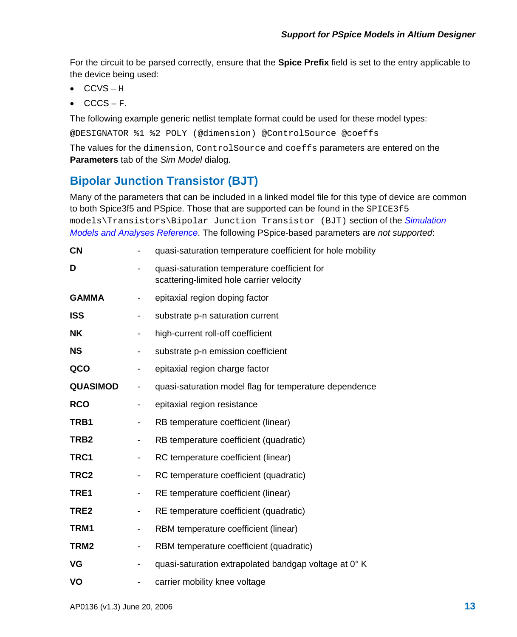For the circuit to be parsed correctly, ensure that the **Spice Prefix** field is set to the entry applicable to the device being used:

- $CCVS-H$
- $\bullet$  CCCS F.

The following example generic netlist template format could be used for these model types:

@DESIGNATOR %1 %2 POLY (@dimension) @ControlSource @coeffs

The values for the  $dimension, Controlsource$  and  $coeffs$  parameters are entered on the **Parameters** tab of the *Sim Model* dialog.

# **Bipolar Junction Transistor (BJT)**

Many of the parameters that can be included in a linked model file for this type of device are common to both Spice3f5 and PSpice. Those that are supported can be found in the SPICE3f5 models\Transistors\Bipolar Junction Transistor (BJT) section of the *Simulation Models and Analyses Reference*. The following PSpice-based parameters are *not supported* :

| <b>CN</b>        |                              | quasi-saturation temperature coefficient for hole mobility                               |
|------------------|------------------------------|------------------------------------------------------------------------------------------|
| D                |                              | quasi-saturation temperature coefficient for<br>scattering-limited hole carrier velocity |
| <b>GAMMA</b>     | ۰                            | epitaxial region doping factor                                                           |
| <b>ISS</b>       | ۰                            | substrate p-n saturation current                                                         |
| <b>NK</b>        | $\qquad \qquad \blacksquare$ | high-current roll-off coefficient                                                        |
| <b>NS</b>        | ۰                            | substrate p-n emission coefficient                                                       |
| QCO              | -                            | epitaxial region charge factor                                                           |
| <b>QUASIMOD</b>  | -                            | quasi-saturation model flag for temperature dependence                                   |
| <b>RCO</b>       |                              | epitaxial region resistance                                                              |
| TRB1             | ۰                            | RB temperature coefficient (linear)                                                      |
| TRB <sub>2</sub> | -                            | RB temperature coefficient (quadratic)                                                   |
| TRC1             | -                            | RC temperature coefficient (linear)                                                      |
| TRC <sub>2</sub> | ۰                            | RC temperature coefficient (quadratic)                                                   |
| TRE1             | $\qquad \qquad \blacksquare$ | RE temperature coefficient (linear)                                                      |
| TRE <sub>2</sub> | ۰                            | RE temperature coefficient (quadratic)                                                   |
| TRM1             | ۰                            | RBM temperature coefficient (linear)                                                     |
| TRM <sub>2</sub> | ۰                            | RBM temperature coefficient (quadratic)                                                  |
| VG               | -                            | quasi-saturation extrapolated bandgap voltage at 0° K                                    |
| VO               |                              | carrier mobility knee voltage                                                            |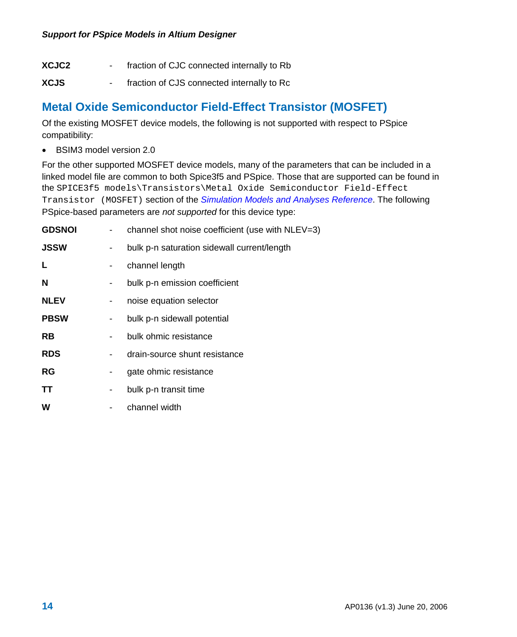- **XCJC2** - fraction of CJC connected internally to Rb
- **XCJS** fraction of CJS connected internally to Rc

# **Metal Oxide Semiconductor Field-Effect Transistor (MOSFET)**

Of the existing MOSFET device models, the following is not supported with respect to PSpice compatibility:

• BSIM3 model version 2.0

linked model file are common to both Spice3f5 and PSpice. Those that are supported can be found in the SPICE3f5 models\Transistors\Metal Oxide Semiconductor Field-Effect For the other supported MOSFET device models, many of the parameters that can be included in a Transistor (MOSFET) section of the *Simulation Models and Analyses Reference*. The following PSpice-based parameters are *not supported* for this device type:

| <b>GDSNOI</b> |   | channel shot noise coefficient (use with NLEV=3) |
|---------------|---|--------------------------------------------------|
| <b>JSSW</b>   | - | bulk p-n saturation sidewall current/length      |
| L             | ٠ | channel length                                   |
| N             | ٠ | bulk p-n emission coefficient                    |
| <b>NLEV</b>   | ۰ | noise equation selector                          |
| <b>PBSW</b>   | ٠ | bulk p-n sidewall potential                      |
| RB            |   | bulk ohmic resistance                            |
| <b>RDS</b>    |   | drain-source shunt resistance                    |
| <b>RG</b>     | ٠ | gate ohmic resistance                            |
| TТ            | - | bulk p-n transit time                            |
| w             |   | channel width                                    |